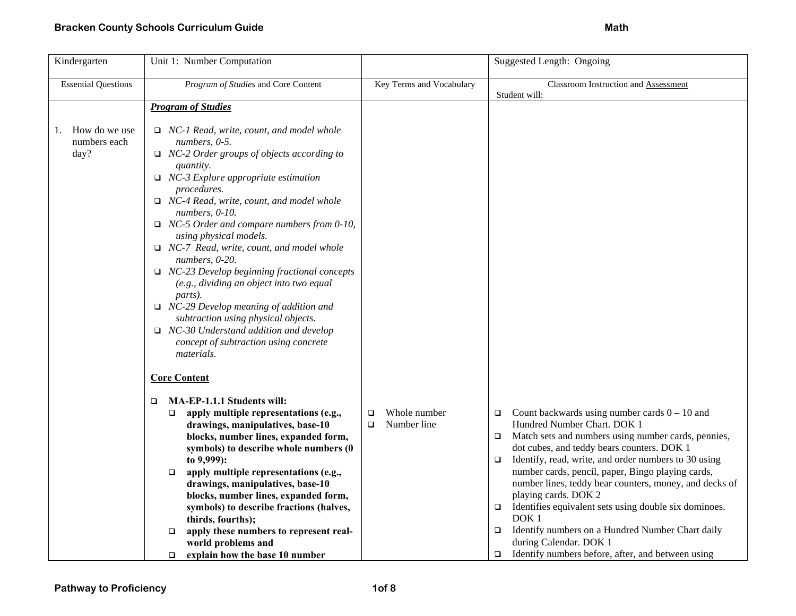| Kindergarten                                | Unit 1: Number Computation                                                                                                                                                                                                                                                                                                                                                                                                                                                                                                                                                                                                                                                                                                                      |                                            | Suggested Length: Ongoing                                                                                                                                                                                                                                                                                                                                                                                                                                                                                                                                                                                                                                      |
|---------------------------------------------|-------------------------------------------------------------------------------------------------------------------------------------------------------------------------------------------------------------------------------------------------------------------------------------------------------------------------------------------------------------------------------------------------------------------------------------------------------------------------------------------------------------------------------------------------------------------------------------------------------------------------------------------------------------------------------------------------------------------------------------------------|--------------------------------------------|----------------------------------------------------------------------------------------------------------------------------------------------------------------------------------------------------------------------------------------------------------------------------------------------------------------------------------------------------------------------------------------------------------------------------------------------------------------------------------------------------------------------------------------------------------------------------------------------------------------------------------------------------------------|
| <b>Essential Questions</b>                  | Program of Studies and Core Content                                                                                                                                                                                                                                                                                                                                                                                                                                                                                                                                                                                                                                                                                                             | Key Terms and Vocabulary                   | <b>Classroom Instruction and Assessment</b><br>Student will:                                                                                                                                                                                                                                                                                                                                                                                                                                                                                                                                                                                                   |
|                                             | <b>Program of Studies</b>                                                                                                                                                                                                                                                                                                                                                                                                                                                                                                                                                                                                                                                                                                                       |                                            |                                                                                                                                                                                                                                                                                                                                                                                                                                                                                                                                                                                                                                                                |
| How do we use<br>1.<br>numbers each<br>day? | $\Box$ NC-1 Read, write, count, and model whole<br>numbers, 0-5.<br>$\Box$ NC-2 Order groups of objects according to<br><i>quantity.</i><br>$\Box$ NC-3 Explore appropriate estimation<br>procedures.<br>$\Box$ NC-4 Read, write, count, and model whole<br>numbers, 0-10.<br>$\Box$ NC-5 Order and compare numbers from 0-10,<br>using physical models.<br>$\Box$ NC-7 Read, write, count, and model whole<br>numbers, 0-20.<br>$\Box$ NC-23 Develop beginning fractional concepts<br>(e.g., dividing an object into two equal<br>parts).<br>$\Box$ NC-29 Develop meaning of addition and<br>subtraction using physical objects.<br>$\Box$ NC-30 Understand addition and develop<br>concept of subtraction using concrete<br><i>materials.</i> |                                            |                                                                                                                                                                                                                                                                                                                                                                                                                                                                                                                                                                                                                                                                |
|                                             | <b>Core Content</b>                                                                                                                                                                                                                                                                                                                                                                                                                                                                                                                                                                                                                                                                                                                             |                                            |                                                                                                                                                                                                                                                                                                                                                                                                                                                                                                                                                                                                                                                                |
|                                             | MA-EP-1.1.1 Students will:<br>$\Box$<br>apply multiple representations (e.g.,<br>$\Box$<br>drawings, manipulatives, base-10<br>blocks, number lines, expanded form,<br>symbols) to describe whole numbers (0<br>to 9,999):<br>apply multiple representations (e.g.,<br>$\Box$<br>drawings, manipulatives, base-10<br>blocks, number lines, expanded form,<br>symbols) to describe fractions (halves,<br>thirds, fourths);<br>apply these numbers to represent real-<br>$\Box$<br>world problems and<br>explain how the base 10 number<br>$\Box$                                                                                                                                                                                                 | Whole number<br>□<br>Number line<br>$\Box$ | Count backwards using number cards $0 - 10$ and<br>$\Box$<br>Hundred Number Chart. DOK 1<br>Match sets and numbers using number cards, pennies,<br>$\Box$<br>dot cubes, and teddy bears counters. DOK 1<br>Identify, read, write, and order numbers to 30 using<br>$\Box$<br>number cards, pencil, paper, Bingo playing cards,<br>number lines, teddy bear counters, money, and decks of<br>playing cards. DOK 2<br>Identifies equivalent sets using double six dominoes.<br>$\Box$<br>DOK <sub>1</sub><br>Identify numbers on a Hundred Number Chart daily<br>$\Box$<br>during Calendar. DOK 1<br>Identify numbers before, after, and between using<br>$\Box$ |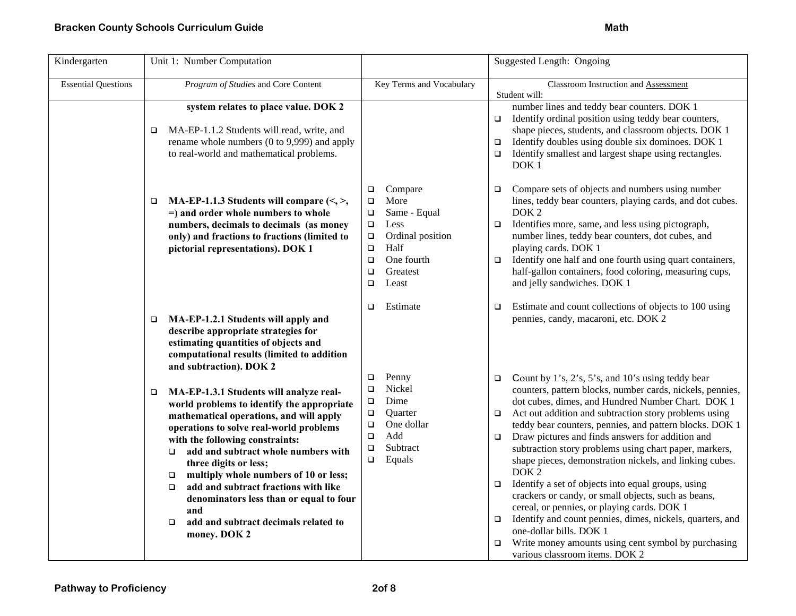## **Bracken County Schools Curriculum Guide Math Accord Accord Accord Math Accord Math Accord Math Accord Math**

| Kindergarten               | Unit 1: Number Computation                                                                                                                                                                                                                                                                                                                                                                                                                                                                                        |                                                                                                                                                                                                  | Suggested Length: Ongoing                                                                                                                                                                                                                                                                                                                                                                                                                                                                                                                                                                                                                                                                                                                                                                                                                                                                     |
|----------------------------|-------------------------------------------------------------------------------------------------------------------------------------------------------------------------------------------------------------------------------------------------------------------------------------------------------------------------------------------------------------------------------------------------------------------------------------------------------------------------------------------------------------------|--------------------------------------------------------------------------------------------------------------------------------------------------------------------------------------------------|-----------------------------------------------------------------------------------------------------------------------------------------------------------------------------------------------------------------------------------------------------------------------------------------------------------------------------------------------------------------------------------------------------------------------------------------------------------------------------------------------------------------------------------------------------------------------------------------------------------------------------------------------------------------------------------------------------------------------------------------------------------------------------------------------------------------------------------------------------------------------------------------------|
| <b>Essential Questions</b> | Program of Studies and Core Content                                                                                                                                                                                                                                                                                                                                                                                                                                                                               | Key Terms and Vocabulary                                                                                                                                                                         | Classroom Instruction and Assessment<br>Student will:                                                                                                                                                                                                                                                                                                                                                                                                                                                                                                                                                                                                                                                                                                                                                                                                                                         |
|                            | system relates to place value. DOK 2<br>MA-EP-1.1.2 Students will read, write, and<br>□<br>rename whole numbers (0 to 9,999) and apply<br>to real-world and mathematical problems.                                                                                                                                                                                                                                                                                                                                |                                                                                                                                                                                                  | number lines and teddy bear counters. DOK 1<br>Identify ordinal position using teddy bear counters,<br>$\Box$<br>shape pieces, students, and classroom objects. DOK 1<br>Identify doubles using double six dominoes. DOK 1<br>$\Box$<br>Identify smallest and largest shape using rectangles.<br>$\Box$<br>DOK <sub>1</sub>                                                                                                                                                                                                                                                                                                                                                                                                                                                                                                                                                                   |
|                            | MA-EP-1.1.3 Students will compare $\langle \leq, \geq \rangle$<br>$\Box$<br>$=$ ) and order whole numbers to whole<br>numbers, decimals to decimals (as money<br>only) and fractions to fractions (limited to<br>pictorial representations). DOK 1                                                                                                                                                                                                                                                                | Compare<br>$\Box$<br>More<br>$\Box$<br>Same - Equal<br>$\Box$<br>$\Box$<br>Less<br>Ordinal position<br>$\Box$<br>Half<br>$\Box$<br>One fourth<br>$\Box$<br>$\Box$<br>Greatest<br>$\Box$<br>Least | Compare sets of objects and numbers using number<br>$\Box$<br>lines, teddy bear counters, playing cards, and dot cubes.<br>DOK <sub>2</sub><br>Identifies more, same, and less using pictograph,<br>$\Box$<br>number lines, teddy bear counters, dot cubes, and<br>playing cards. DOK 1<br>Identify one half and one fourth using quart containers,<br>$\Box$<br>half-gallon containers, food coloring, measuring cups,<br>and jelly sandwiches. DOK 1                                                                                                                                                                                                                                                                                                                                                                                                                                        |
|                            | MA-EP-1.2.1 Students will apply and<br>$\Box$<br>describe appropriate strategies for<br>estimating quantities of objects and<br>computational results (limited to addition<br>and subtraction). DOK 2                                                                                                                                                                                                                                                                                                             | Estimate<br>$\Box$                                                                                                                                                                               | Estimate and count collections of objects to 100 using<br>$\Box$<br>pennies, candy, macaroni, etc. DOK 2                                                                                                                                                                                                                                                                                                                                                                                                                                                                                                                                                                                                                                                                                                                                                                                      |
|                            | MA-EP-1.3.1 Students will analyze real-<br>о<br>world problems to identify the appropriate<br>mathematical operations, and will apply<br>operations to solve real-world problems<br>with the following constraints:<br>add and subtract whole numbers with<br>$\Box$<br>three digits or less;<br>multiply whole numbers of 10 or less;<br>о<br>add and subtract fractions with like<br>$\Box$<br>denominators less than or equal to four<br>and<br>add and subtract decimals related to<br>$\Box$<br>money. DOK 2 | Penny<br>$\Box$<br>Nickel<br>$\Box$<br>Dime<br>$\Box$<br>$\Box$<br>Quarter<br>One dollar<br>$\Box$<br>Add<br>$\Box$<br>Subtract<br>$\Box$<br>$\Box$<br>Equals                                    | Count by 1's, 2's, 5's, and 10's using teddy bear<br>$\Box$<br>counters, pattern blocks, number cards, nickels, pennies,<br>dot cubes, dimes, and Hundred Number Chart. DOK 1<br>Act out addition and subtraction story problems using<br>$\Box$<br>teddy bear counters, pennies, and pattern blocks. DOK 1<br>Draw pictures and finds answers for addition and<br>$\Box$<br>subtraction story problems using chart paper, markers,<br>shape pieces, demonstration nickels, and linking cubes.<br>DOK <sub>2</sub><br>Identify a set of objects into equal groups, using<br>$\Box$<br>crackers or candy, or small objects, such as beans,<br>cereal, or pennies, or playing cards. DOK 1<br>Identify and count pennies, dimes, nickels, quarters, and<br>$\Box$<br>one-dollar bills. DOK 1<br>Write money amounts using cent symbol by purchasing<br>$\Box$<br>various classroom items. DOK 2 |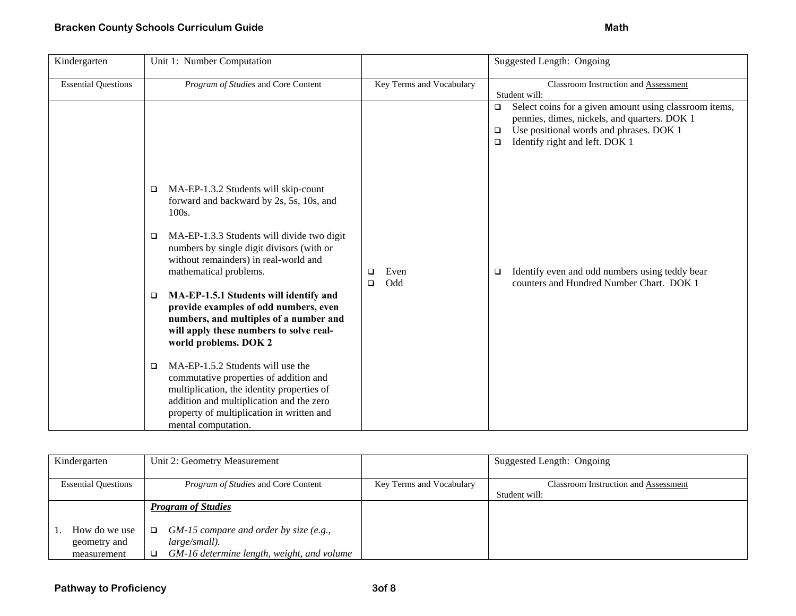| Kindergarten               | Unit 1: Number Computation                                                                                                                                                                                                                     |                            | Suggested Length: Ongoing                                                                                                                                                                                         |
|----------------------------|------------------------------------------------------------------------------------------------------------------------------------------------------------------------------------------------------------------------------------------------|----------------------------|-------------------------------------------------------------------------------------------------------------------------------------------------------------------------------------------------------------------|
| <b>Essential Questions</b> | Program of Studies and Core Content                                                                                                                                                                                                            | Key Terms and Vocabulary   | Classroom Instruction and Assessment<br>Student will:                                                                                                                                                             |
|                            |                                                                                                                                                                                                                                                |                            | Select coins for a given amount using classroom items,<br>$\Box$<br>pennies, dimes, nickels, and quarters. DOK 1<br>Use positional words and phrases. DOK 1<br>$\Box$<br>Identify right and left. DOK 1<br>$\Box$ |
|                            | MA-EP-1.3.2 Students will skip-count<br>□<br>forward and backward by 2s, 5s, 10s, and<br>100s.                                                                                                                                                 |                            |                                                                                                                                                                                                                   |
|                            | MA-EP-1.3.3 Students will divide two digit<br>❏<br>numbers by single digit divisors (with or<br>without remainders) in real-world and<br>mathematical problems.                                                                                | Even<br>□<br>Odd<br>$\Box$ | Identify even and odd numbers using teddy bear<br>❏<br>counters and Hundred Number Chart. DOK 1                                                                                                                   |
|                            | MA-EP-1.5.1 Students will identify and<br>□<br>provide examples of odd numbers, even<br>numbers, and multiples of a number and<br>will apply these numbers to solve real-<br>world problems. DOK 2                                             |                            |                                                                                                                                                                                                                   |
|                            | MA-EP-1.5.2 Students will use the<br>□<br>commutative properties of addition and<br>multiplication, the identity properties of<br>addition and multiplication and the zero<br>property of multiplication in written and<br>mental computation. |                            |                                                                                                                                                                                                                   |

| Kindergarten                                 | Unit 2: Geometry Measurement                                                                                      |                          | Suggested Length: Ongoing                                    |
|----------------------------------------------|-------------------------------------------------------------------------------------------------------------------|--------------------------|--------------------------------------------------------------|
| <b>Essential Questions</b>                   | <i>Program of Studies</i> and Core Content                                                                        | Key Terms and Vocabulary | <b>Classroom Instruction and Assessment</b><br>Student will: |
|                                              | <b>Program of Studies</b>                                                                                         |                          |                                                              |
| How do we use<br>geometry and<br>measurement | $GM-15$ compare and order by size (e.g.,<br>$\Box$<br>large/small).<br>GM-16 determine length, weight, and volume |                          |                                                              |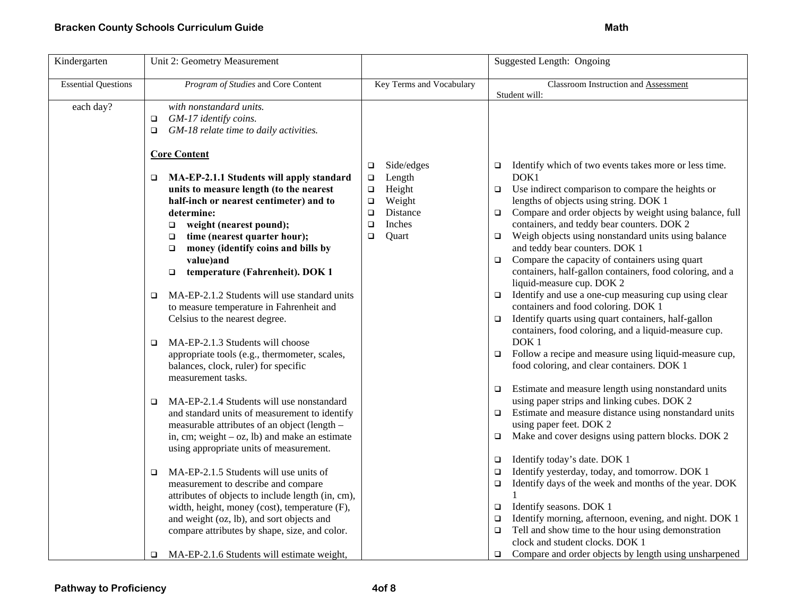| Kindergarten               | Unit 2: Geometry Measurement                                                                                                                                                                                                                                                                                                                                                                                                                                                                                                                                                                                                                                      |                                                                                                                                          | Suggested Length: Ongoing                                                                                                                                                                                                                                                                                                                                                                                                                                                                                                                                                                                                                                                                                                                                                                                                                                                                                             |
|----------------------------|-------------------------------------------------------------------------------------------------------------------------------------------------------------------------------------------------------------------------------------------------------------------------------------------------------------------------------------------------------------------------------------------------------------------------------------------------------------------------------------------------------------------------------------------------------------------------------------------------------------------------------------------------------------------|------------------------------------------------------------------------------------------------------------------------------------------|-----------------------------------------------------------------------------------------------------------------------------------------------------------------------------------------------------------------------------------------------------------------------------------------------------------------------------------------------------------------------------------------------------------------------------------------------------------------------------------------------------------------------------------------------------------------------------------------------------------------------------------------------------------------------------------------------------------------------------------------------------------------------------------------------------------------------------------------------------------------------------------------------------------------------|
| <b>Essential Questions</b> | Program of Studies and Core Content                                                                                                                                                                                                                                                                                                                                                                                                                                                                                                                                                                                                                               | Key Terms and Vocabulary                                                                                                                 | Classroom Instruction and Assessment<br>Student will:                                                                                                                                                                                                                                                                                                                                                                                                                                                                                                                                                                                                                                                                                                                                                                                                                                                                 |
| each day?                  | with nonstandard units.<br>GM-17 identify coins.<br>$\Box$<br>GM-18 relate time to daily activities.<br>$\Box$                                                                                                                                                                                                                                                                                                                                                                                                                                                                                                                                                    |                                                                                                                                          |                                                                                                                                                                                                                                                                                                                                                                                                                                                                                                                                                                                                                                                                                                                                                                                                                                                                                                                       |
|                            | <b>Core Content</b><br>MA-EP-2.1.1 Students will apply standard<br>$\Box$<br>units to measure length (to the nearest<br>half-inch or nearest centimeter) and to<br>determine:<br>weight (nearest pound);<br>$\Box$<br>time (nearest quarter hour);<br>□<br>money (identify coins and bills by<br>$\Box$<br>value)and<br>temperature (Fahrenheit). DOK 1<br>$\Box$<br>MA-EP-2.1.2 Students will use standard units<br>□<br>to measure temperature in Fahrenheit and<br>Celsius to the nearest degree.<br>MA-EP-2.1.3 Students will choose<br>$\Box$<br>appropriate tools (e.g., thermometer, scales,<br>balances, clock, ruler) for specific<br>measurement tasks. | Side/edges<br>□<br>Length<br>$\Box$<br>Height<br>$\Box$<br>Weight<br>$\Box$<br>Distance<br>$\Box$<br>Inches<br>$\Box$<br>Quart<br>$\Box$ | Identify which of two events takes more or less time.<br>$\Box$<br>DOK1<br>Use indirect comparison to compare the heights or<br>$\Box$<br>lengths of objects using string. DOK 1<br>Compare and order objects by weight using balance, full<br>$\Box$<br>containers, and teddy bear counters. DOK 2<br>Weigh objects using nonstandard units using balance<br>$\Box$<br>and teddy bear counters. DOK 1<br>Compare the capacity of containers using quart<br>$\Box$<br>containers, half-gallon containers, food coloring, and a<br>liquid-measure cup. DOK 2<br>Identify and use a one-cup measuring cup using clear<br>□<br>containers and food coloring. DOK 1<br>Identify quarts using quart containers, half-gallon<br>❏<br>containers, food coloring, and a liquid-measure cup.<br>DOK <sub>1</sub><br>$\Box$ Follow a recipe and measure using liquid-measure cup,<br>food coloring, and clear containers. DOK 1 |
|                            | MA-EP-2.1.4 Students will use nonstandard<br>$\Box$<br>and standard units of measurement to identify<br>measurable attributes of an object (length -<br>in, cm; weight $-$ oz, lb) and make an estimate<br>using appropriate units of measurement.<br>MA-EP-2.1.5 Students will use units of<br>$\Box$<br>measurement to describe and compare<br>attributes of objects to include length (in, cm),<br>width, height, money (cost), temperature (F),<br>and weight (oz, lb), and sort objects and<br>compare attributes by shape, size, and color.<br>MA-EP-2.1.6 Students will estimate weight,<br>□                                                              |                                                                                                                                          | Estimate and measure length using nonstandard units<br>□<br>using paper strips and linking cubes. DOK 2<br>Estimate and measure distance using nonstandard units<br>❏<br>using paper feet. DOK 2<br>Make and cover designs using pattern blocks. DOK 2<br>□<br>Identify today's date. DOK 1<br>$\Box$<br>Identify yesterday, today, and tomorrow. DOK 1<br>$\Box$<br>Identify days of the week and months of the year. DOK<br>$\Box$<br>Identify seasons. DOK 1<br>$\Box$<br>Identify morning, afternoon, evening, and night. DOK 1<br>□<br>Tell and show time to the hour using demonstration<br>$\Box$<br>clock and student clocks. DOK 1<br>Compare and order objects by length using unsharpened<br>□                                                                                                                                                                                                             |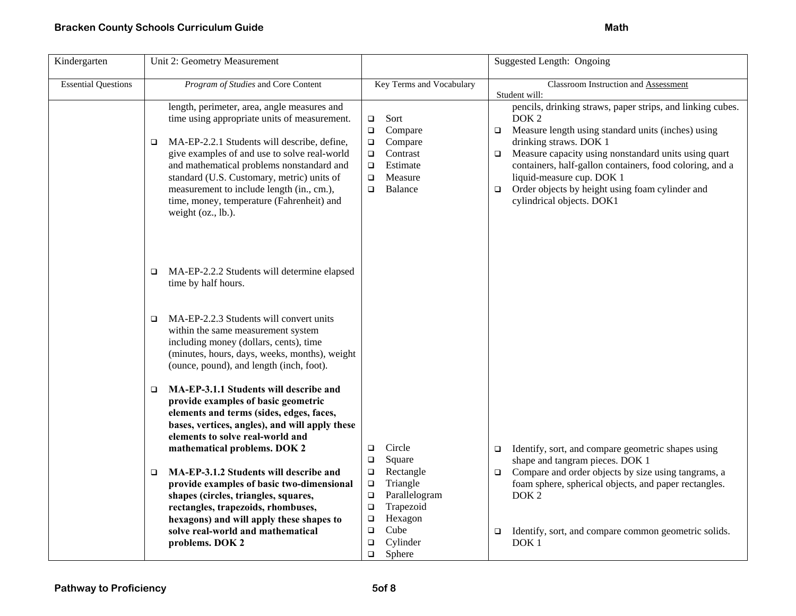| Kindergarten               | Unit 2: Geometry Measurement                                                                                                                                                                                                                                                                                                                                                                               |                                                                                                                                           | Suggested Length: Ongoing                                                                                                                                                                                                                                                                                                                                                                                                     |
|----------------------------|------------------------------------------------------------------------------------------------------------------------------------------------------------------------------------------------------------------------------------------------------------------------------------------------------------------------------------------------------------------------------------------------------------|-------------------------------------------------------------------------------------------------------------------------------------------|-------------------------------------------------------------------------------------------------------------------------------------------------------------------------------------------------------------------------------------------------------------------------------------------------------------------------------------------------------------------------------------------------------------------------------|
| <b>Essential Questions</b> | Program of Studies and Core Content                                                                                                                                                                                                                                                                                                                                                                        | Key Terms and Vocabulary                                                                                                                  | Classroom Instruction and Assessment<br>Student will:                                                                                                                                                                                                                                                                                                                                                                         |
|                            | length, perimeter, area, angle measures and<br>time using appropriate units of measurement.<br>MA-EP-2.2.1 Students will describe, define,<br>□<br>give examples of and use to solve real-world<br>and mathematical problems nonstandard and<br>standard (U.S. Customary, metric) units of<br>measurement to include length (in., cm.),<br>time, money, temperature (Fahrenheit) and<br>weight (oz., lb.). | Sort<br>$\Box$<br>Compare<br>$\Box$<br>Compare<br>$\Box$<br>Contrast<br>о<br>Estimate<br>$\Box$<br>Measure<br>$\Box$<br>Balance<br>$\Box$ | pencils, drinking straws, paper strips, and linking cubes.<br>DOK <sub>2</sub><br>Measure length using standard units (inches) using<br>$\Box$<br>drinking straws. DOK 1<br>Measure capacity using nonstandard units using quart<br>$\Box$<br>containers, half-gallon containers, food coloring, and a<br>liquid-measure cup. DOK 1<br>Order objects by height using foam cylinder and<br>$\Box$<br>cylindrical objects. DOK1 |
|                            | MA-EP-2.2.2 Students will determine elapsed<br>$\Box$<br>time by half hours.                                                                                                                                                                                                                                                                                                                               |                                                                                                                                           |                                                                                                                                                                                                                                                                                                                                                                                                                               |
|                            | MA-EP-2.2.3 Students will convert units<br>$\Box$<br>within the same measurement system<br>including money (dollars, cents), time<br>(minutes, hours, days, weeks, months), weight<br>(ounce, pound), and length (inch, foot).                                                                                                                                                                             |                                                                                                                                           |                                                                                                                                                                                                                                                                                                                                                                                                                               |
|                            | MA-EP-3.1.1 Students will describe and<br>□<br>provide examples of basic geometric<br>elements and terms (sides, edges, faces,<br>bases, vertices, angles), and will apply these<br>elements to solve real-world and<br>mathematical problems. DOK 2                                                                                                                                                       | Circle<br>$\Box$<br>Square<br>$\Box$                                                                                                      | Identify, sort, and compare geometric shapes using<br>$\Box$<br>shape and tangram pieces. DOK 1                                                                                                                                                                                                                                                                                                                               |
|                            | MA-EP-3.1.2 Students will describe and<br>□<br>provide examples of basic two-dimensional<br>shapes (circles, triangles, squares,<br>rectangles, trapezoids, rhombuses,<br>hexagons) and will apply these shapes to<br>solve real-world and mathematical                                                                                                                                                    | Rectangle<br>$\Box$<br>Triangle<br>о<br>Parallelogram<br>$\Box$<br>Trapezoid<br>$\Box$<br>Hexagon<br>о<br>Cube<br>$\Box$                  | Compare and order objects by size using tangrams, a<br>$\Box$<br>foam sphere, spherical objects, and paper rectangles.<br>DOK <sub>2</sub><br>Identify, sort, and compare common geometric solids.<br>о                                                                                                                                                                                                                       |
|                            | problems. DOK 2                                                                                                                                                                                                                                                                                                                                                                                            | Cylinder<br>$\Box$<br>Sphere<br>$\Box$                                                                                                    | DOK <sub>1</sub>                                                                                                                                                                                                                                                                                                                                                                                                              |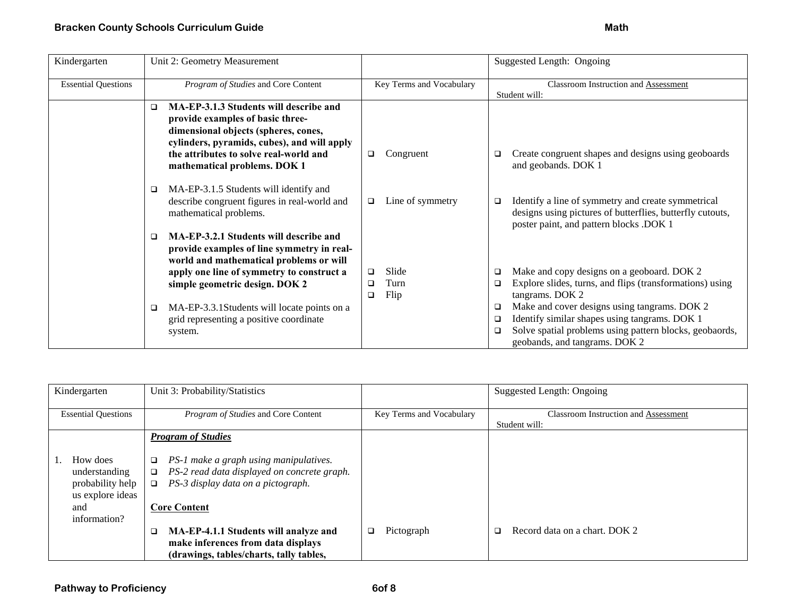| Kindergarten               | Unit 2: Geometry Measurement                                                                                                                                                                                     |                            | Suggested Length: Ongoing                                                                                                                                        |
|----------------------------|------------------------------------------------------------------------------------------------------------------------------------------------------------------------------------------------------------------|----------------------------|------------------------------------------------------------------------------------------------------------------------------------------------------------------|
| <b>Essential Questions</b> | Program of Studies and Core Content                                                                                                                                                                              | Key Terms and Vocabulary   | Classroom Instruction and Assessment                                                                                                                             |
|                            |                                                                                                                                                                                                                  |                            | Student will:                                                                                                                                                    |
|                            | MA-EP-3.1.3 Students will describe and<br>◻<br>provide examples of basic three-<br>dimensional objects (spheres, cones,<br>cylinders, pyramids, cubes), and will apply<br>the attributes to solve real-world and | Congruent<br>$\Box$        | Create congruent shapes and designs using geoboards<br>O.                                                                                                        |
|                            | mathematical problems. DOK 1                                                                                                                                                                                     |                            | and geobands. DOK 1                                                                                                                                              |
|                            | MA-EP-3.1.5 Students will identify and<br>□<br>describe congruent figures in real-world and<br>mathematical problems.                                                                                            | Line of symmetry<br>$\Box$ | Identify a line of symmetry and create symmetrical<br>O.<br>designs using pictures of butterflies, butterfly cutouts,<br>poster paint, and pattern blocks .DOK 1 |
|                            | MA-EP-3.2.1 Students will describe and<br>▫<br>provide examples of line symmetry in real-<br>world and mathematical problems or will                                                                             |                            |                                                                                                                                                                  |
|                            | apply one line of symmetry to construct a                                                                                                                                                                        | Slide<br>$\Box$            | Make and copy designs on a geoboard. DOK 2<br>$\Box$                                                                                                             |
|                            | simple geometric design. DOK 2                                                                                                                                                                                   | Turn<br>❏<br>Flip<br>❏     | Explore slides, turns, and flips (transformations) using<br>$\Box$<br>tangrams. DOK 2                                                                            |
|                            | MA-EP-3.3.1 Students will locate points on a<br>❏                                                                                                                                                                |                            | Make and cover designs using tangrams. DOK 2<br>$\Box$                                                                                                           |
|                            | grid representing a positive coordinate                                                                                                                                                                          |                            | Identify similar shapes using tangrams. DOK 1<br>$\Box$                                                                                                          |
|                            | system.                                                                                                                                                                                                          |                            | Solve spatial problems using pattern blocks, geobaords,<br>$\Box$<br>geobands, and tangrams. DOK 2                                                               |

| Kindergarten               | Unit 3: Probability/Statistics                        |                          | Suggested Length: Ongoing            |
|----------------------------|-------------------------------------------------------|--------------------------|--------------------------------------|
| <b>Essential Questions</b> | <i>Program of Studies</i> and Core Content            | Key Terms and Vocabulary | Classroom Instruction and Assessment |
|                            |                                                       |                          | Student will:                        |
|                            | <b>Program of Studies</b>                             |                          |                                      |
|                            |                                                       |                          |                                      |
|                            |                                                       |                          |                                      |
| How does                   | PS-1 make a graph using manipulatives.<br>□           |                          |                                      |
|                            |                                                       |                          |                                      |
| understanding              | PS-2 read data displayed on concrete graph.<br>$\Box$ |                          |                                      |
| probability help           | PS-3 display data on a pictograph.<br>o               |                          |                                      |
|                            |                                                       |                          |                                      |
| us explore ideas           |                                                       |                          |                                      |
| and                        | <b>Core Content</b>                                   |                          |                                      |
| information?               |                                                       |                          |                                      |
|                            |                                                       |                          |                                      |
|                            | MA-EP-4.1.1 Students will analyze and<br>□            | Pictograph<br>$\Box$     | Record data on a chart. DOK 2<br>□   |
|                            | make inferences from data displays                    |                          |                                      |
|                            |                                                       |                          |                                      |
|                            | (drawings, tables/charts, tally tables,               |                          |                                      |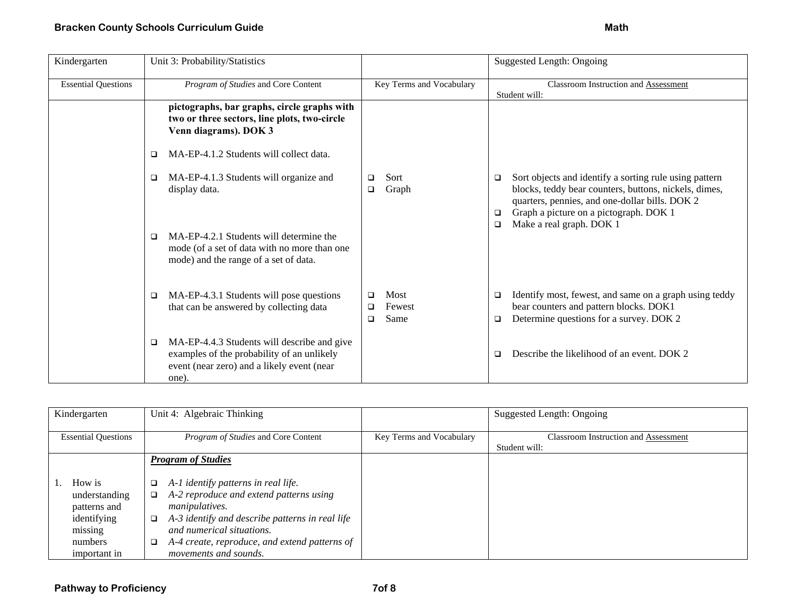| Kindergarten               | Unit 3: Probability/Statistics                                                                                                                               |                                       | <b>Suggested Length: Ongoing</b>                                                                                                                                                                                                                            |
|----------------------------|--------------------------------------------------------------------------------------------------------------------------------------------------------------|---------------------------------------|-------------------------------------------------------------------------------------------------------------------------------------------------------------------------------------------------------------------------------------------------------------|
| <b>Essential Questions</b> | Program of Studies and Core Content                                                                                                                          | Key Terms and Vocabulary              | Classroom Instruction and Assessment<br>Student will:                                                                                                                                                                                                       |
|                            | pictographs, bar graphs, circle graphs with<br>two or three sectors, line plots, two-circle<br>Venn diagrams). DOK 3                                         |                                       |                                                                                                                                                                                                                                                             |
|                            | MA-EP-4.1.2 Students will collect data.<br>□                                                                                                                 |                                       |                                                                                                                                                                                                                                                             |
|                            | MA-EP-4.1.3 Students will organize and<br>□<br>display data.<br>MA-EP-4.2.1 Students will determine the<br>□<br>mode (of a set of data with no more than one | Sort<br>❏<br>Graph<br>❏               | Sort objects and identify a sorting rule using pattern<br>□<br>blocks, teddy bear counters, buttons, nickels, dimes,<br>quarters, pennies, and one-dollar bills. DOK 2<br>Graph a picture on a pictograph. DOK 1<br>□<br>Make a real graph. DOK 1<br>$\Box$ |
|                            | mode) and the range of a set of data.                                                                                                                        |                                       |                                                                                                                                                                                                                                                             |
|                            | MA-EP-4.3.1 Students will pose questions<br>□<br>that can be answered by collecting data                                                                     | Most<br>◻<br>Fewest<br>❏<br>Same<br>□ | Identify most, fewest, and same on a graph using teddy<br>□<br>bear counters and pattern blocks. DOK1<br>Determine questions for a survey. DOK 2<br>$\Box$                                                                                                  |
|                            | MA-EP-4.4.3 Students will describe and give<br>$\Box$<br>examples of the probability of an unlikely<br>event (near zero) and a likely event (near<br>one).   |                                       | Describe the likelihood of an event. DOK 2<br>□                                                                                                                                                                                                             |

| Kindergarten                                                                                 | Unit 4: Algebraic Thinking                                                                                                                                                                                                                                                                  |                          | Suggested Length: Ongoing                                    |
|----------------------------------------------------------------------------------------------|---------------------------------------------------------------------------------------------------------------------------------------------------------------------------------------------------------------------------------------------------------------------------------------------|--------------------------|--------------------------------------------------------------|
| <b>Essential Questions</b>                                                                   | <i>Program of Studies</i> and Core Content                                                                                                                                                                                                                                                  | Key Terms and Vocabulary | <b>Classroom Instruction and Assessment</b><br>Student will: |
|                                                                                              | <b>Program of Studies</b>                                                                                                                                                                                                                                                                   |                          |                                                              |
| How is<br>understanding<br>patterns and<br>identifying<br>missing<br>numbers<br>important in | A-1 identify patterns in real life.<br>$\Box$<br>A-2 reproduce and extend patterns using<br>o.<br><i>manipulatives.</i><br>A-3 identify and describe patterns in real life<br>□<br>and numerical situations.<br>A-4 create, reproduce, and extend patterns of<br>□<br>movements and sounds. |                          |                                                              |